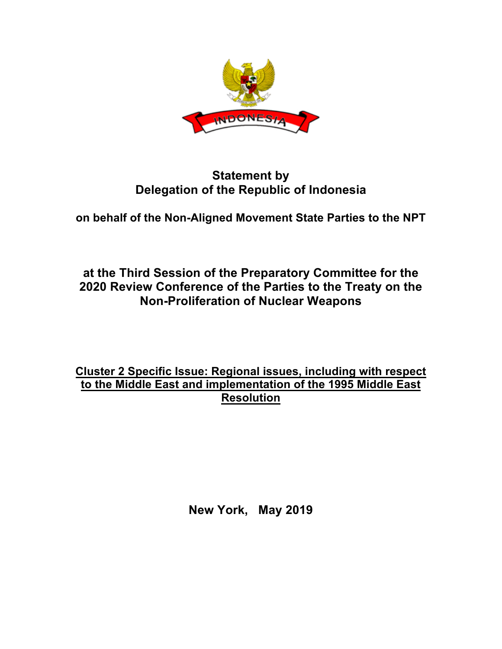

## **Statement by Delegation of the Republic of Indonesia**

**on behalf of the Non-Aligned Movement State Parties to the NPT**

## **at the Third Session of the Preparatory Committee for the 2020 Review Conference of the Parties to the Treaty on the Non-Proliferation of Nuclear Weapons**

## **Cluster 2 Specific Issue: Regional issues, including with respect to the Middle East and implementation of the 1995 Middle East Resolution**

**New York, May 2019**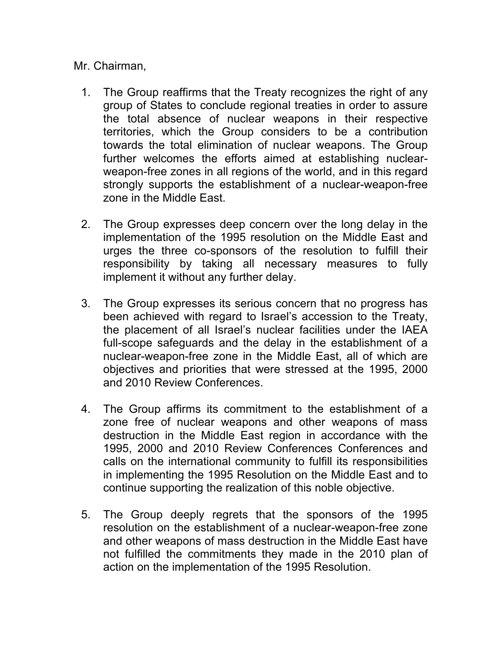Mr. Chairman,

- 1. The Group reaffirms that the Treaty recognizes the right of any group of States to conclude regional treaties in order to assure the total absence of nuclear weapons in their respective territories, which the Group considers to be a contribution towards the total elimination of nuclear weapons. The Group further welcomes the efforts aimed at establishing nuclearweapon-free zones in all regions of the world, and in this regard strongly supports the establishment of a nuclear-weapon-free zone in the Middle East.
- 2. The Group expresses deep concern over the long delay in the implementation of the 1995 resolution on the Middle East and urges the three co-sponsors of the resolution to fulfill their responsibility by taking all necessary measures to fully implement it without any further delay.
- 3. The Group expresses its serious concern that no progress has been achieved with regard to Israel's accession to the Treaty, the placement of all Israel's nuclear facilities under the IAEA full-scope safeguards and the delay in the establishment of a nuclear-weapon-free zone in the Middle East, all of which are objectives and priorities that were stressed at the 1995, 2000 and 2010 Review Conferences.
- 4. The Group affirms its commitment to the establishment of a zone free of nuclear weapons and other weapons of mass destruction in the Middle East region in accordance with the 1995, 2000 and 2010 Review Conferences Conferences and calls on the international community to fulfill its responsibilities in implementing the 1995 Resolution on the Middle East and to continue supporting the realization of this noble objective.
- 5. The Group deeply regrets that the sponsors of the 1995 resolution on the establishment of a nuclear-weapon-free zone and other weapons of mass destruction in the Middle East have not fulfilled the commitments they made in the 2010 plan of action on the implementation of the 1995 Resolution.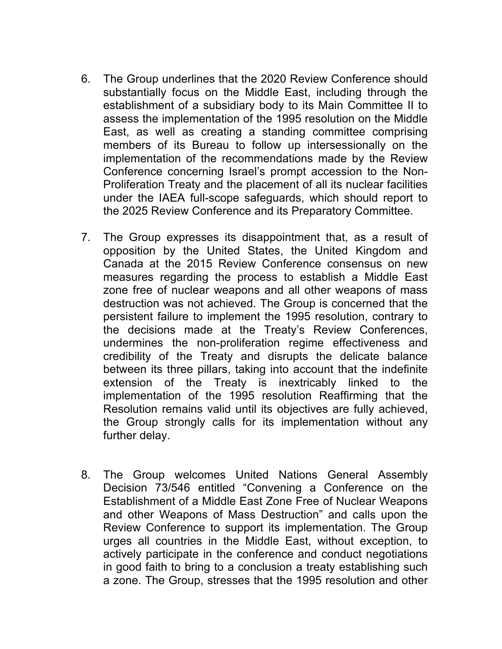- 6. The Group underlines that the 2020 Review Conference should substantially focus on the Middle East, including through the establishment of a subsidiary body to its Main Committee II to assess the implementation of the 1995 resolution on the Middle East, as well as creating a standing committee comprising members of its Bureau to follow up intersessionally on the implementation of the recommendations made by the Review Conference concerning Israel's prompt accession to the Non-Proliferation Treaty and the placement of all its nuclear facilities under the IAEA full-scope safeguards, which should report to the 2025 Review Conference and its Preparatory Committee.
- 7. The Group expresses its disappointment that, as a result of opposition by the United States, the United Kingdom and Canada at the 2015 Review Conference consensus on new measures regarding the process to establish a Middle East zone free of nuclear weapons and all other weapons of mass destruction was not achieved. The Group is concerned that the persistent failure to implement the 1995 resolution, contrary to the decisions made at the Treaty's Review Conferences, undermines the non-proliferation regime effectiveness and credibility of the Treaty and disrupts the delicate balance between its three pillars, taking into account that the indefinite extension of the Treaty is inextricably linked to the implementation of the 1995 resolution Reaffirming that the Resolution remains valid until its objectives are fully achieved, the Group strongly calls for its implementation without any further delay.
- 8. The Group welcomes United Nations General Assembly Decision 73/546 entitled "Convening a Conference on the Establishment of a Middle East Zone Free of Nuclear Weapons and other Weapons of Mass Destruction" and calls upon the Review Conference to support its implementation. The Group urges all countries in the Middle East, without exception, to actively participate in the conference and conduct negotiations in good faith to bring to a conclusion a treaty establishing such a zone. The Group, stresses that the 1995 resolution and other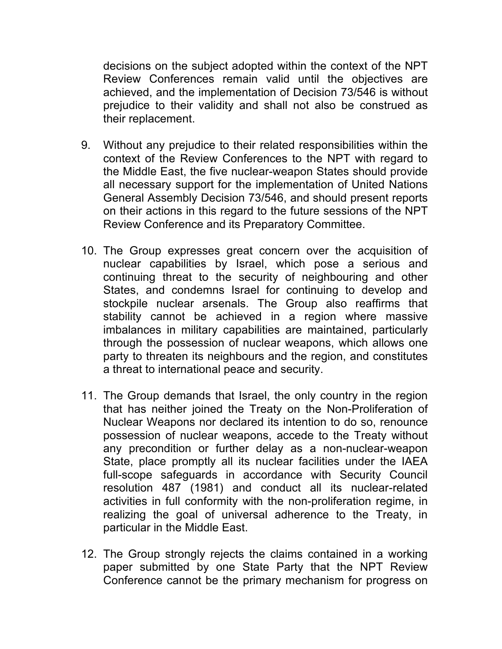decisions on the subject adopted within the context of the NPT Review Conferences remain valid until the objectives are achieved, and the implementation of Decision 73/546 is without prejudice to their validity and shall not also be construed as their replacement.

- 9. Without any prejudice to their related responsibilities within the context of the Review Conferences to the NPT with regard to the Middle East, the five nuclear-weapon States should provide all necessary support for the implementation of United Nations General Assembly Decision 73/546, and should present reports on their actions in this regard to the future sessions of the NPT Review Conference and its Preparatory Committee.
- 10. The Group expresses great concern over the acquisition of nuclear capabilities by Israel, which pose a serious and continuing threat to the security of neighbouring and other States, and condemns Israel for continuing to develop and stockpile nuclear arsenals. The Group also reaffirms that stability cannot be achieved in a region where massive imbalances in military capabilities are maintained, particularly through the possession of nuclear weapons, which allows one party to threaten its neighbours and the region, and constitutes a threat to international peace and security.
- 11. The Group demands that Israel, the only country in the region that has neither joined the Treaty on the Non-Proliferation of Nuclear Weapons nor declared its intention to do so, renounce possession of nuclear weapons, accede to the Treaty without any precondition or further delay as a non-nuclear-weapon State, place promptly all its nuclear facilities under the IAEA full-scope safeguards in accordance with Security Council resolution 487 (1981) and conduct all its nuclear-related activities in full conformity with the non-proliferation regime, in realizing the goal of universal adherence to the Treaty, in particular in the Middle East.
- 12. The Group strongly rejects the claims contained in a working paper submitted by one State Party that the NPT Review Conference cannot be the primary mechanism for progress on